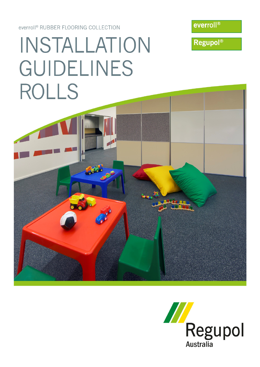everroll<sup>®</sup> RUBBER FLOORING COLLECTION



**Regupol®** 

# INSTALLATION **GUIDELINES** ROLLS



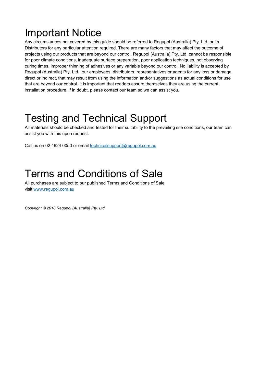### Important Notice

Any circumstances not covered by this guide should be referred to Regupol (Australia) Pty. Ltd. or its Distributors for any particular attention required. There are many factors that may affect the outcome of projects using our products that are beyond our control. Regupol (Australia) Pty. Ltd. cannot be responsible for poor climate conditions, inadequate surface preparation, poor application techniques, not observing curing times, improper thinning of adhesives or any variable beyond our control. No liability is accepted by Regupol (Australia) Pty. Ltd., our employees, distributors, representatives or agents for any loss or damage, direct or indirect, that may result from using the information and/or suggestions as actual conditions for use that are beyond our control. It is important that readers assure themselves they are using the current installation procedure, if in doubt, please contact our team so we can assist you.

### Testing and Technical Support

All materials should be checked and tested for their suitability to the prevailing site conditions, our team can assist you with this upon request.

Call us on 02 4624 0050 or email technicalsupport@regupol.com.au

### Terms and Conditions of Sale

All purchases are subject to our published Terms and Conditions of Sale visit www.regupol.com.au

*Copyright © 2018 Regupol (Australia) Pty. Ltd.*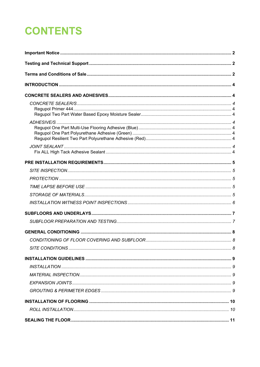# **CONTENTS**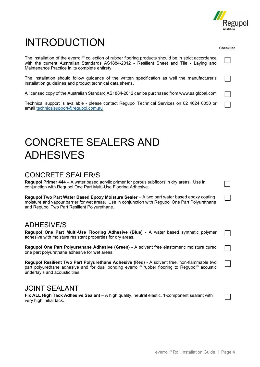

**Checklist** 

## INTRODUCTION

The installation of the everroll<sup>®</sup> collection of rubber flooring products should be in strict accordance with the current Australian Standards AS1884-2012 - Resilient Sheet and Tile - Laying and Maintenance Practice in its complete entirety.

The installation should follow guidance of the written specification as well the manufacturer's installation guidelines and product technical data sheets.

A licensed copy of the Australian Standard AS1884-2012 can be purchased from www.saiglobal.com

Technical support is available - please contact Regupol Technical Services on 02 4624 0050 or email technicalsupport@regupol.com.au

### CONCRETE SEALERS AND ADHESIVES

#### CONCRETE SEALER/S

**Regupol Primer 444** – A water based acrylic primer for porous subfloors in dry areas. Use in conjunction with Regupol One Part Multi-Use Flooring Adhesive.

**Regupol Two Part Water Based Epoxy Moisture Sealer** – A two part water based epoxy coating moisture and vapour barrier for wet areas. Use in conjunction with Regupol One Part Polyurethane and Regupol Two Part Resilient Polyurethane.

### ADHESIVE/S

**Regupol One Part Multi-Use Flooring Adhesive (Blue)** - A water based synthetic polymer adhesive with moisture resistant properties for dry areas.

**Regupol One Part Polyurethane Adhesive (Green)** - A solvent free elastomeric moisture cured one part polyurethane adhesive for wet areas.

**Regupol Resilient Two Part Polyurethane Adhesive (Red)** - A solvent free, non-flammable two part polyurethane adhesive and for dual bonding everroll® rubber flooring to Regupol® acoustic underlay's and acoustic tiles.

### JOINT SEALANT

**Fix ALL High Tack Adhesive Sealant** – A high quality, neutral elastic, 1-component sealant with very high initial tack.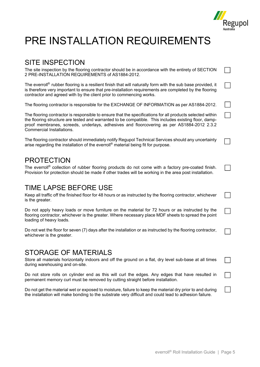

 $\Box$ 

### PRE INSTALLATION REQUIREMENTS

#### SITE INSPECTION

The site inspection by the flooring contractor should be in accordance with the entirety of SECTION 2 PRE-INSTALLATION REQUIREMENTS of AS1884-2012.

The everroll® rubber flooring is a resilient finish that will naturally form with the sub base provided, it is therefore very important to ensure that pre-installation requirements are completed by the flooring contractor and agreed with by the client prior to commencing works.

The flooring contractor is responsible for the EXCHANGE OF INFORMATION as per AS1884-2012.

The flooring contractor is responsible to ensure that the specifications for all products selected within the flooring structure are tested and warranted to be compatible. This includes existing floor, dampproof membranes, screeds, underlays, adhesives and floorcovering as per AS1884-2012 2.3.2 Commercial Installations.

The flooring contractor should immediately notify Regupol Technical Services should any uncertainty arise regarding the installation of the everroll® material being fit for purpose.

#### PROTECTION

The everroll® collection of rubber flooring products do not come with a factory pre-coated finish. Provision for protection should be made if other trades will be working in the area post installation.

#### TIME LAPSE BEFORE USE

Keep all traffic off the finished floor for 48 hours or as instructed by the flooring contractor, whichever is the greater.

Do not apply heavy loads or move furniture on the material for 72 hours or as instructed by the flooring contractor, whichever is the greater. Where necessary place MDF sheets to spread the point loading of heavy loads.

Do not wet the floor for seven (7) days after the installation or as instructed by the flooring contractor, whichever is the greater.

#### STORAGE OF MATERIALS

Store all materials horizontally indoors and off the ground on a flat, dry level sub-base at all times during warehousing and on-site.

Do not store rolls on cylinder end as this will curl the edges. Any edges that have resulted in permanent memory curl must be removed by cutting straight before installation.

Do not get the material wet or exposed to moisture, failure to keep the material dry prior to and during the installation will make bonding to the substrate very difficult and could lead to adhesion failure.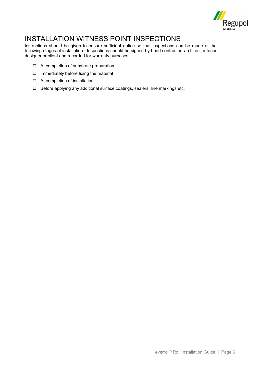

### INSTALLATION WITNESS POINT INSPECTIONS

Instructions should be given to ensure sufficient notice so that inspections can be made at the following stages of installation. Inspections should be signed by head contractor, architect, interior designer or client and recorded for warranty purposes:

- $\Box$  At completion of substrate preparation
- $\Box$  Immediately before fixing the material
- □ At completion of installation
- $\Box$  Before applying any additional surface coatings, sealers, line markings etc.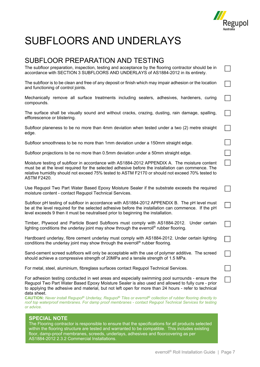

 $\Box$ 

## SUBFLOORS AND UNDERLAYS

#### SUBFLOOR PREPARATION AND TESTING

The subfloor preparation, inspection, testing and acceptance by the flooring contractor should be in accordance with SECTION 3 SUBFLOORS AND UNDERLAYS of AS1884-2012 in its entirety.

The subfloor is to be clean and free of any deposit or finish which may impair adhesion or the location and functioning of control joints.

Mechanically remove all surface treatments including sealers, adhesives, hardeners, curing compounds.

The surface shall be visually sound and without cracks, crazing, dusting, rain damage, spalling, efflorescence or blistering.

Subfloor planeness to be no more than 4mm deviation when tested under a two (2) metre straight edge.

Subfloor smoothness to be no more than 1mm deviation under a 150mm straight edge.

Subfloor projections to be no more than 0.5mm deviation under a 50mm straight edge.

Moisture testing of subfloor in accordance with AS1884-2012 APPENDIX A. The moisture content must be at the level required for the selected adhesive before the installation can commence. The relative humidity should not exceed 75% tested to ASTM F2170 or should not exceed 70% tested to ASTM F2420.

Use Regupol Two Part Water Based Epoxy Moisture Sealer if the substrate exceeds the required moisture content - contact Regupol Technical Services.

Subfloor pH testing of subfloor in accordance with AS1884-2012 APPENDIX B. The pH level must be at the level required for the selected adhesive before the installation can commence. If the pH level exceeds 9 then it must be neutralised prior to beginning the installation.

Timber, Plywood and Particle Board Subfloors must comply with AS1884-2012. Under certain lighting conditions the underlay joint may show through the everroll® rubber flooring.

Hardboard underlay, fibre cement underlay must comply with AS1884-2012. Under certain lighting conditions the underlay joint may show through the everroll® rubber flooring.

Sand-cement screed subfloors will only be acceptable with the use of polymer additive. The screed should achieve a compressive strength of 20MPa and a tensile strength of 1.5 MPa.

For metal, steel, aluminium, fibreglass surfaces contact Regupol Technical Services.

For adhesion testing conducted in wet areas and especially swimming pool surrounds - ensure the Regupol Two Part Water Based Epoxy Moisture Sealer is also used and allowed to fully cure - prior to applying the adhesive and material, but not left open for more than 24 hours - refer to technical data sheet.

**CAUTION:** *Never install Regupol® Underlay, Regupol® Tiles or everroll® collection of rubber flooring directly to roof top waterproof membranes. For damp proof membranes - contact Regupol Technical Services for testing or advice.*

#### **SPECIAL NOTE**

The Flooring contractor is responsible to ensure that the specifications for all products selected within the flooring structure are tested and warranted to be compatible. This includes existing floor, damp-proof membranes, screeds, underlays, adhesives and floorcovering as per AS1884-2012 2.3.2 Commercial Installations.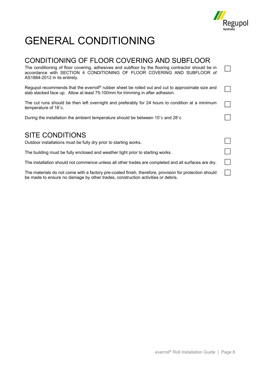

## GENERAL CONDITIONING

be made to ensure no damage by other trades, construction activities or debris.

#### CONDITIONING OF FLOOR COVERING AND SUBFLOOR The conditioning of floor covering, adhesives and subfloor by the flooring contractor should be in  $\perp$ accordance with SECTION 4 CONDITIONING OF FLOOR COVERING AND SUBFLOOR of AS1884-2012 in its entirety. Regupol recommends that the everroll<sup>®</sup> rubber sheet be rolled out and cut to approximate size and slab stacked face up. Allow at least 75-100mm for trimming in after adhesion. The cut runs should be then left overnight and preferably for 24 hours to condition at a minimum temperature of 18˚c. During the installation the ambient temperature should be between 10˚c and 28˚c SITE CONDITIONS  $\Box$ Outdoor installations must be fully dry prior to starting works.  $\Box$ The building must be fully enclosed and weather tight prior to starting works. The installation should not commence unless all other trades are completed and all surfaces are dry. The materials do not come with a factory pre-coated finish, therefore, provision for protection should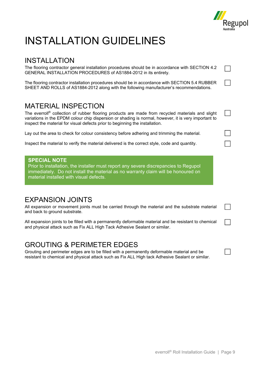

 $\perp$ 

 $\blacksquare$ 

# INSTALLATION GUIDELINES

### INSTALLATION

The flooring contractor general installation procedures should be in accordance with SECTION 4.2 GENERAL INSTALLATION PROCEDURES of AS1884-2012 in its entirety.

The flooring contractor installation procedures should be in accordance with SECTION 5.4 RUBBER SHEET AND ROLLS of AS1884-2012 along with the following manufacturer's recommendations.

#### MATERIAL INSPECTION

The everroll® collection of rubber flooring products are made from recycled materials and slight variations in the EPDM colour chip dispersion or shading is normal, however, it is very important to inspect the material for visual defects prior to beginning the installation.

Lay out the area to check for colour consistency before adhering and trimming the material.

Inspect the material to verify the material delivered is the correct style, code and quantity.

#### **SPECIAL NOTE**

Prior to installation, the installer must report any severe discrepancies to Regupol immediately. Do not install the material as no warranty claim will be honoured on material installed with visual defects.

#### EXPANSION JOINTS

All expansion or movement joints must be carried through the material and the substrate material and back to ground substrate.

All expansion joints to be filled with a permanently deformable material and be resistant to chemical and physical attack such as Fix ALL High Tack Adhesive Sealant or similar.

### GROUTING & PERIMETER EDGES

Grouting and perimeter edges are to be filled with a permanently deformable material and be resistant to chemical and physical attack such as Fix ALL High tack Adhesive Sealant or similar.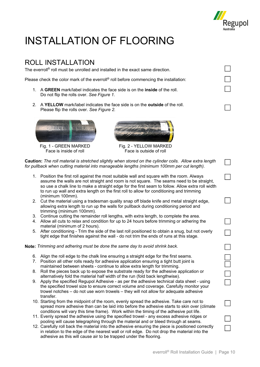

 $\Box$ 

## INSTALLATION OF FLOORING

### ROLL INSTALLATION

The everroll® roll must be unrolled and installed in the exact same direction.

Please check the color mark of the everroll® roll before commencing the installation:

- 1. A **GREEN** mark/label indicates the face side is on the **inside** of the roll. Do not flip the rolls over. *See Figure 1.*
- 2. A **YELLOW** mark/label indicates the face side is on the **outside** of the roll. Please flip the rolls over. *See Figure 2.*





Fig. 1 - GREEN MARKED Fig. 2 - YELLOW MARKED<br>Face is inside of roll Face is outside of roll Face is outside of roll

**Caution:** *The roll material is stretched slightly when stored on the cylinder coils. Allow extra length for pullback when cutting material into manageable lengths (minimum 100mm per cut length).*

- 1. Position the first roll against the most suitable wall and square with the room. Always assume the walls are not straight and room is not square. The seams need to be straight, so use a chalk line to make a straight edge for the first seam to follow. Allow extra roll width to run up wall and extra length on the first roll to allow for conditioning and trimming (minimum 100mm).
- 2. Cut the material using a tradesman quality snap off blade knife and metal straight edge, allowing extra length to run up the walls for pullback during conditioning period and trimming (minimum 100mm).
- 3. Continue cutting the remainder roll lengths, with extra length, to complete the area.
- 4. Allow all cuts to relax and condition for up to 24 hours before trimming or adhering the material (minimum of 2 hours).
- 5. After conditioning Trim the side of the last roll positioned to obtain a snug, but not overly tight edge that finishes against the wall - do not trim the ends of runs at this stage.

**Note:** *Trimming and adhering must be done the same day to avoid shrink back.* 

- 6. Align the roll edge to the chalk line ensuring a straight edge for the first seams.
- 7. Position all other rolls ready for adhesive application ensuring a tight butt joint is maintained between sheets - continue to allow extra length for trimming.
- 8. Roll the pieces back up to expose the substrate ready for the adhesive application or alternatively fold the material half width of the run (fold back lengthwise).
- 9. Apply the specified Regupol Adhesive as per the adhesive technical data sheet using the specified trowel size to ensure correct volume and coverage. Carefully monitor your trowel notches – do not use worn trowels – they will not allow for adequate adhesive transfer.
- 10. Starting from the midpoint of the room, evenly spread the adhesive. Take care not to spread more adhesive than can be laid into before the adhesive starts to skin over (climate conditions will vary this time frame). Work within the timing of the adhesive pot life.
- 11. Evenly spread the adhesive using the specified trowel any excess adhesive ridges or pooling will cause telegraphing through the material and or bleed through at seams.
- 12. Carefully roll back the material into the adhesive ensuring the piece is positioned correctly in relation to the edge of the nearest wall or roll edge. Do not drop the material into the adhesive as this will cause air to be trapped under the flooring.